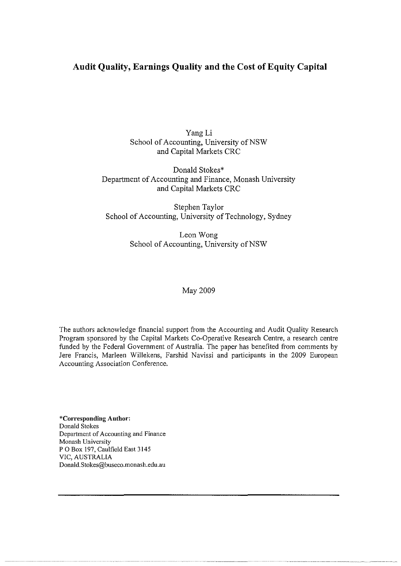# **Audit Quality, Earnings Quality and the Cost of Equity Capital**

Yang Li School of Accounting, University of NSW and Capital Markets CRC

Donald Stokes\* Department of Accounting and Finance, Monash University and Capital Markets CRC

Stephen Taylor School of Accounting, University of Technology, Sydney

> Leon Wong School of Accounting, University of NSW

## May 2009

The authors acknowledge financial support from the Accounting and Audit Quality Research Program sponsored by the Capital Markets Co-Operative Research Centre, a research centre funded by the Federal Government of Australia. The paper has benefited from comments by Jere Francis, Marleen Willekens, Farshid Navissi and participants in the 2009 European Accounting Association Conference.

**\*Corresponding Author:**  Donald Stokes **Department of Accounting and Finance**  Monash University P 0 Box 197, Caulfield East 3145 VIC, AUSTRALIA Donald.Stokes@buseco.monash.edu.au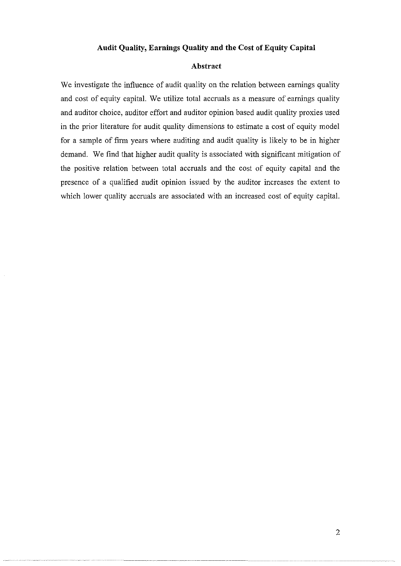#### **Audit Quality, Earnings Quality and the Cost of Equity Capital**

## **Abstract**

We investigate the influence of audit quality on the relation between earnings quality and cost of equity capital. We utilize total accruals as a measure of earnings quality and auditor choice, auditor effort and auditor opinion based audit quality proxies used in the prior literature for audit quality dimensions to estimate a cost of equity model for a sample of firm years where auditing and audit quality is likely to be in higher demand. We find that higher audit quality is associated with significant mitigation of the positive relation between total accruals and the cost of equity capital and the presence of a qualified audit opinion issued by the auditor increases the extent to which lower quality accruals are associated with an increased cost of equity capital.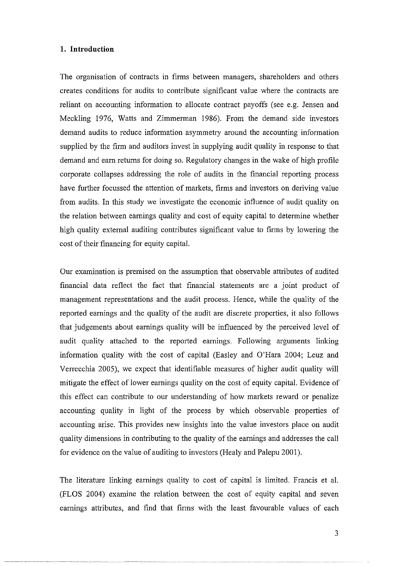## **1. Introduction**

The organisation of contracts in firms between managers, shareholders and others creates conditions for audits to contribute significant value where the contracts are reliant on accounting information to allocate contract payoffs (see e.g. Jensen and Meckling 1976, Watts and Zimmerman 1986). From the demand side investors demand audits to reduce information asymmetry around the accounting information supplied by the firm and auditors invest in supplying audit quality in response to that demand and earn returns for doing so. Regulatory changes in the wake of high profile corporate collapses addressing the role of audits in the financial reporting process have further focussed the attention of markets, firms and investors on deriving value from audits. In this study we investigate the economic influence of audit quality on the relation between earnings quality and cost of equity capital to determine whether high quality external auditing contributes significant value to firms by lowering the cost of their financing for equity capital.

Our examination is premised on the assumption that observable attributes of audited financial data reflect the fact that financial statements are a joint product of management representations and the audit process. Hence, while the quality of the reported earnings and the quality of the audit are discrete properties, it also follows that judgements about earnings quality will be influenced by the perceived level of audit quality attached to the reported earnings. Following arguments linking information quality with the cost of capital (Easley and O'Hara 2004; Leuz and Verrecchia 2005), we expect that identifiable measures of higher audit quality will mitigate the effect of lower earnings quality on the cost of equity capital. Evidence of this effect can contribute to our understanding of how markets reward or penalize accounting quality in light of the process by which observable properties of accounting arise. This provides new insights into the value investors place on audit quality dimensions in contributing to the quality of the earnings and addresses the call for evidence on the value of auditing to investors (Healy and Palepu 2001).

The literature linking earnings quality to cost of capital is limited. Francis et a!. (FLOS 2004) examine the relation between the cost of equity capital and seven earnings attributes, and find that firms with the least favourable values of each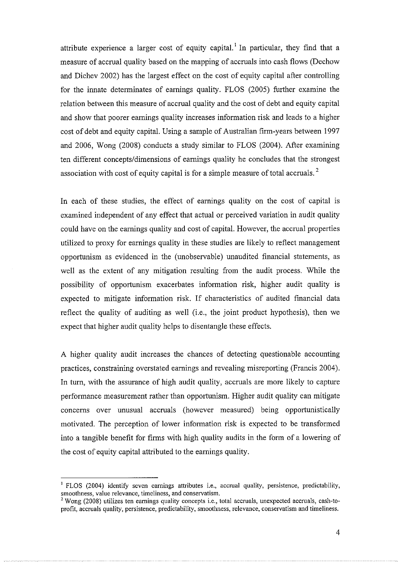attribute experience a larger cost of equity capital.<sup>1</sup> In particular, they find that a measure of accrual quality based on the mapping of accruals into cash flows (Dechow and Dichev 2002) has the largest effect on the cost of equity capital after controlling for the innate determinates of earnings quality. FLOS (2005) further examine the relation between this measure of accrual quality and the cost of debt and equity capital and show that poorer earnings quality increases information risk and leads to a higher cost of debt and equity capital. Using a sample of Australian firm-years between 1997 and 2006, Wong (2008) conducts a study similar to FLOS (2004). After examining ten different concepts/dimensions of earnings quality he concludes that the strongest association with cost of equity capital is for a simple measure of total accruals.<sup>2</sup>

In each of these studies, the effect of earnings quality on the cost of capital is examined independent of any effect that actual or perceived variation in audit quality could have on the earnings quality and cost of capital. However, the accrual properties utilized to proxy for earnings quality in these studies are likely to reflect management opportunism as evidenced in the (unobservable) unaudited financial statements, as well as the extent of any mitigation resulting from the audit process. While the possibility of opportunism exacerbates information risk, higher audit quality is expected to mitigate information risk. If characteristics of audited financial data reflect the quality of auditing as well (i.e., the joint product hypothesis), then we expect that higher audit quality helps to disentangle these effects.

A higher quality audit increases the chances of detecting questionable accounting practices, constraining overstated earnings and revealing misreporting (Francis 2004). In turn, with the assurance of high audit quality, accruals are more likely to capture performance measurement rather than opportunism. Higher audit quality can mitigate concerns over unusual accruals (however measured) being opportunistically motivated. The perception of lower information risk is expected to be transformed into a tangible benefit for firms with high quality audits in the form of a lowering of the cost of equity capital attributed to the earnings quality.

<sup>&</sup>lt;sup>1</sup> FLOS (2004) identify seven earnings attributes i.e., accrual quality, persistence, predictability, **smoothness, value relevance, timeliness, and conservatism.** 

<sup>&</sup>lt;sup>2</sup> Wong (2008) utilizes ten earnings quality concepts i.e., total accruals, unexpected accruals, cash-to**profit, accruals quality, persistence, predictability, smoothness, relevance, conservatism and timeliness.**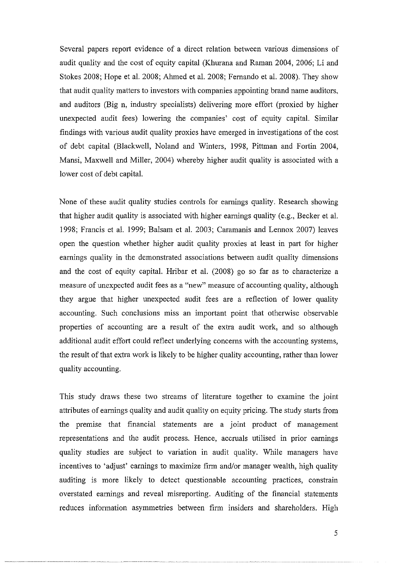Several papers report evidence of a direct relation between various dimensions of audit quality and the cost of equity capital (Khurana and Raman 2004, 2006; Li and Stokes 2008; Hope et al. 2008; Ahmed et al. 2008; Fernando et al. 2008). They show that audit quality matters to investors with companies appointing brand name auditors. and auditors (Big n, industry specialists) delivering more effort (proxied by higher unexpected audit fees) lowering the companies' cost of equity capital. Similar findings with various audit quality proxies have emerged in investigations of the cost of debt capital (Blackwell, Noland and Winters, 1998, Pittman and Fortin 2004, Mansi, Maxwell and Miller, 2004) whereby higher audit quality is associated with a lower cost of debt capital.

None of these audit quality studies controls for earnings quality. Research showing that higher audit quality is associated with higher earnings quality (e.g., Becker et a!. 1998; Francis et al. 1999; Balsam et al. 2003; Caramanis and Lennox 2007) leaves open the question whether higher audit quality proxies at least in part for higher earnings quality in the demonstrated associations between audit quality dimensions and the cost of equity capital. Hribar et al. (2008) go so far as to characterize a measure of unexpected audit fees as a "new" measure of accounting quality, although they argue that higher unexpected audit fees are a reflection of lower quality accounting. Such conclusions miss an important point that otherwise observable properties of accounting are a result of the extra audit work, and so although additional audit effort could reflect underlying concerns with the accounting systems, the result of that extra work is likely to be higher quality accounting, rather than lower quality accounting.

This study draws these two streams of literature together to examine the joint attributes of earnings quality and audit quality on equity pricing. The study starts from the premise that financial statements are a joint product of management representations and the audit process. Hence, accruals utilised in prior earnings quality studies are subject to variation in audit quality. While managers have incentives to 'adjust' earnings to maximize firm and/or manager wealth, high quality auditing is more likely to detect questionable accounting practices, constrain overstated earnings and reveal misreporting. Auditing of the financial statements reduces information asymmetries between firm insiders and shareholders. High

5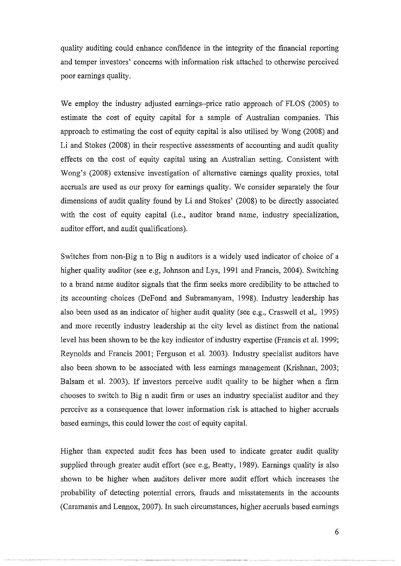quality auditing could enhance confidence in the integrity of the financial reporting and temper investors' concerns with information risk attached to otherwise perceived poor earnings quality.

We employ the industry adjusted earnings-price ratio approach of FLOS (2005) to estimate the cost of equity capital for a sample of Australian companies. This approach to estimating the cost of equity capital is also utilised by Wong (2008) and Li and Stokes (2008) in their respective assessments of accounting and audit quality effects on the cost of equity capital using an Australian setting. Consistent with Wong's (2008) extensive investigation of alternative earnings quality proxies, total accruals are used as our proxy for earnings quality. We consider separately the four dimensions of audit quality found by Li and Stokes' (2008) to be directly associated with the cost of equity capital (i.e., auditor brand name, industry specialization, auditor effort, and audit qualifications).

Switches from non-Big n to Big n auditors is a widely used indicator of choice of a higher quality auditor (see e.g, Johnson and Lys, 1991 and Francis, 2004). Switching to a brand name auditor signals that the firm seeks more credibility to be attached to its accounting choices (DeFond and Subramanyam, 1998). Industry leadership has also been used as an indicator of higher audit quality (see e.g., Craswell et al,. 1995) and more recently industry leadership at the city level as distinct from the national level has been shown to be the key indicator of industry expertise (Francis et al. 1999; Reynolds and Francis 2001; Ferguson et al. 2003). Industry specialist auditors have also been shown to be associated with less earnings management (Krishnan, 2003; Balsam et al. 2003). If investors perceive audit quality to be higher when a firm chooses to switch to Big n audit firm or uses an industry specialist auditor and they perceive as a consequence that lower information risk is attached to higher accruals based earnings, this could lower the cost of equity capital.

Higher than expected audit fees has been used to indicate greater audit quality supplied through greater audit effort (see e.g, Beatty, 1989). Earnings quality is also shown to be higher when auditors deliver more audit effort which increases the probability of detecting potential errors, frauds and misstatements in the accounts (Caramanis and Lennox, 2007). In such circumstances, higher accruals based earnings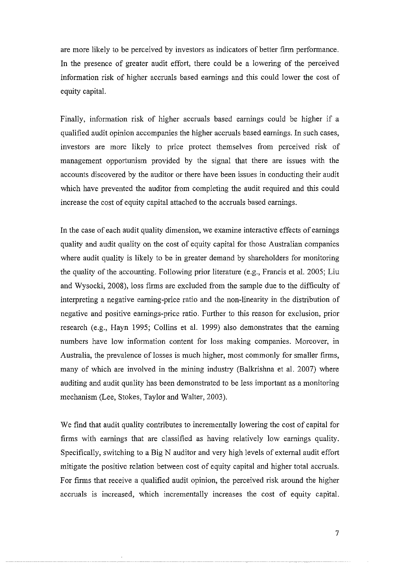are more likely to be perceived by investors as indicators of better firm performance. In the presence of greater audit effort, there could be a lowering of the perceived information risk of higher accruals based earnings and this could lower the cost of equity capital.

Finally, information risk of higher accruals based earnings could be higher if a qualified audit opinion accompanies the higher accruals based earnings. In such cases, investors are more likely to price protect themselves from perceived risk of management opportunism provided by the signal that there are issues with the accounts discovered by the auditor or there have been issues in conducting their audit which have prevented the auditor from completing the audit required and this could increase the cost of equity capital attached to the accruals based earnings.

In the case of each audit quality dimension, we examine interactive effects of earnings quality and audit quality on the cost of equity capital for those Australian companies where audit quality is likely to be in greater demand by shareholders for monitoring the quality of the accounting. Following prior literature (e.g., Francis et al. 2005; Liu and Wysocki, 2008), loss firms are excluded from the sample due to the difficulty of interpreting a negative earning-price ratio and the non-linearity in the distribution of negative and positive earnings-price ratio. Further to this reason for exclusion, prior research (e.g., Hayn 1995; Collins et al. 1999) also demonstrates that the earning numbers have low information content for loss making companies. Moreover, in Australia, the prevalence of losses is much higher, most commonly for smaller firms, many of which are involved in the mining industry (Balkrishna et al. 2007) where auditing and audit quality has been demonstrated to be less important as a monitoring mechanism (Lee, Stokes, Taylor and Walter, 2003).

We find that audit quality contributes to incrementally lowering the cost of capital for firms with earnings that are classified as having relatively low earnings quality. Specifically, switching to a Big N auditor and very high levels of external audit effort mitigate the positive relation between cost of equity capital and higher total accruals. For firms that receive a qualified audit opinion, the perceived risk around the higher accruals is increased, which incrementally increases the cost of equity capital.

7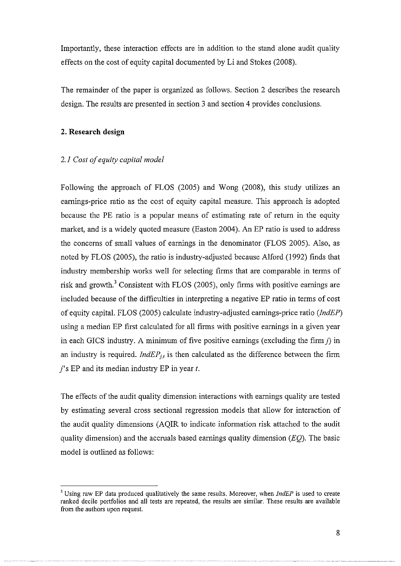Importantly, these interaction effects are in addition to the stand alone audit quality effects on the cost of equity capital documented by Li and Stokes (2008).

The remainder of the paper is organized as follows. Section 2 describes the research design. The results are presented in section 3 and section 4 provides conclusions.

## **2. Research design**

## *2.1 Cost of equity capital model*

Following the approach of FLOS (2005) and Wong (2008), this study utilizes an earnings-price ratio as the cost of equity capital measure. This approach is adopted because the PE ratio is a popular means of estimating rate of return in the equity market, and is a widely quoted measure (Easton 2004). An EP ratio is used to address the concerns of small values of earnings in the denominator (FLOS 2005). Also, as noted by FLOS (2005), the ratio is industry-adjusted because Alford (1992) finds that industry membership works well for selecting firms that are comparable in terms of risk and growth.<sup>3</sup> Consistent with FLOS (2005), only firms with positive earnings are included because of the difficulties in interpreting a negative EP ratio in terms of cost of equity capital. FLOS (2005) calculate industry-adjusted earnings-price ratio (JndEP) using a median EP first calculated for all firms with positive earnings in a given year in each GICS industry. A minimum of five positive earnings (excluding the firm  $i$ ) in an industry is required. *IndEP<sub>11</sub>* is then calculated as the difference between the firm *j's* EP and its median industry EP in year *t.* 

The effects of the audit quality dimension interactions with earnings quality are tested by estimating several cross sectional regression models that allow for interaction of the audit quality dimensions (AQIR to indicate information risk attached to the audit quality dimension) and the accruals based earnings quality dimension *(EQ).* The basic model is outlined as follows:

<sup>3</sup> Using raw EP data produced qualitatively the same results. Moreover, when *IndEP* is used to create ranked decile portfolios and all tests are repeated, the results are similar. These results are available from the authors upon request.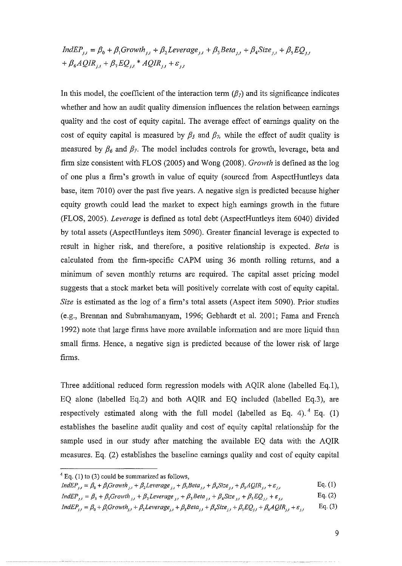$IndEP_{j,t} = \beta_0 + \beta_1 Growth_{j,t} + \beta_2Leverage_{j,t} + \beta_3 Beta_{j,t} + \beta_4 Size_{j,t} + \beta_5 EQ_{j,t}$ +  $\beta_6AQIR_{11} + \beta_7EQ_{11} + AQIR_{11} + \varepsilon_1,$ 

In this model, the coefficient of the interaction term  $(\beta_7)$  and its significance indicates whether and how an audit quality dimension influences the relation between earnings quality and the cost of equity capital. The average effect of earnings quality on the cost of equity capital is measured by  $\beta_5$  and  $\beta_7$ , while the effect of audit quality is measured by  $\beta_6$  and  $\beta_7$ . The model includes controls for growth, leverage, beta and firm size consistent with FLOS (2005) and Wong (2008). *Growth* is defined as the log of one plus a firm's growth in value of equity (sourced from AspectHuntleys data base, item 7010) over the past five years. A negative sign is predicted because higher equity growth could lead the market to expect high earnings growth in the future (FLOS, 2005). *Leverage* is defined as total debt (AspectHuntleys item 6040) divided by total assets (AspectHuntleys item 5090). Greater financial leverage is expected to result in higher risk, and therefore, a positive relationship is expected. *Beta* is calculated from the firm-specific CAPM using 36 month rolling returns, and a minimum of seven monthly returns are required. The capital asset pricing model suggests that a stock market beta will positively correlate with cost of equity capital. *Size* is estimated as the log of a firm's total assets (Aspect item 5090). Prior studies (e.g., Brennan and Subrahamanyam, 1996; Gebhardt et al. 2001; Fama and French 1992) note that large firms have more available information and are more liquid than small firms. Hence, a negative sign is predicted because of the lower risk of large firms.

Three additional reduced form regression models with AQIR alone (labelled Eq.1), EQ alone (labelled Eq.2) and both AQIR and EQ included (labelled Eq.3), are respectively estimated along with the full model (labelled as Eq. 4).  $4$  Eq. (1) establishes the baseline audit quality and cost of equity capital relationship for the sample used in our study after matching the available EQ data with the AQIR measures. Eq. (2) establishes the baseline earnings quality and cost of equity capital

$$
IndEP_{j,t} = \beta_0 + \beta_1 Growth_{j,t} + \beta_2 Leverage_{j,t} + \beta_3 Beta_{j,t} + \beta_4 Size_{j,t} + \beta_5 AQIR_{j,t} + \varepsilon_{j,t}
$$
 Eq. (1)

IndEP<sub>jj</sub> =  $\beta_0 + \beta_1$ Growth<sub>jj</sub> +  $\beta_2$ Leverage<sub>jj</sub> +  $\beta_3$ Beta<sub>jj</sub> +  $\beta_4$ Size<sub>jj</sub> +  $\beta_5 EQ_{j,t}$  +  $\varepsilon_{j,t}$ Eq. (2)

 $4$  Eq. (1) to (3) could be summarized as follows,

 $IndEP_{j,t} = \beta_0 + \beta_1 Growth_{j,t} + \beta_2 Leverage_{j,t} + \beta_3 Beta_{j,t} + \beta_4 Size_{j,t} + \beta_5 EQ_{j,t} + \beta_6 AQIR_{j,t} + \varepsilon_{j,t}$ Eq. (3)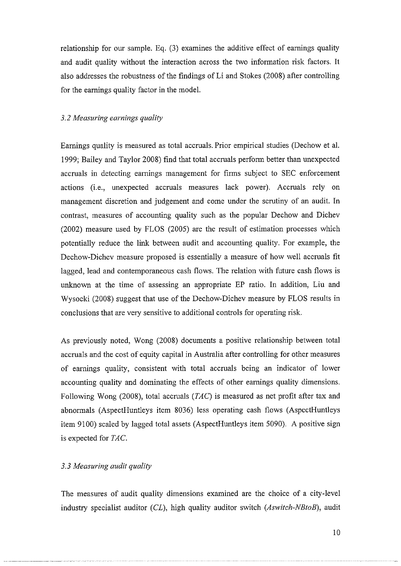relationship for our sample. Eq. (3) examines the additive effect of earnings quality and audit quality without the interaction across the two information risk factors. It also addresses the robustness of the findings of Li and Stokes (2008) after controlling for the earnings quality factor in the model.

## *3.2 Measuring earnings quality*

Earnings quality is measured as total accruals. Prior empirical studies (Dechow et a!. 1999; Bailey and Taylor 2008) find that total accruals perform better than unexpected accruals in detecting earnings management for firms subject to SEC enforcement actions (i.e., unexpected accruals measures lack power). Accruals rely on management discretion and judgement and come under the scrutiny of an audit. In contrast, measures of accounting quality such as the popular Dechow and Dichev (2002) measure used by FLOS (2005) are the result of estimation processes which potentially reduce the link between audit and accounting quality. For example, the Dechow-Dichev measure proposed is essentially a measure of how well accruals fit lagged, lead and contemporaneous cash flows. The relation with future cash flows is unknown at the time of assessing an appropriate EP ratio. In addition, Liu and Wysocki (2008) suggest that use of the Dechow-Dichev measure by FLOS results in conclusions that are very sensitive to additional controls for operating risk.

As previously noted, Wong (2008) documents a positive relationship between total accruals and the cost of equity capital in Australia after controlling for other measures of earnings quality, consistent with total accruals being an indicator of lower accounting quality and dominating the effects of other earnings quality dimensions. Following Wong (2008), total accruals  $(TAC)$  is measured as net profit after tax and abnormals (AspectHuntleys item 8036) less operating cash flows (AspectHuntleys item 9100) scaled by lagged total assets (AspectHuntleys item 5090). A positive sign is expected for TAC.

## *3.3 Measuring audit quality*

The measures of audit quality dimensions examined are the choice of a city-level industry specialist auditor (CL), high quality auditor switch *(Aswitch-NBtoB),* audit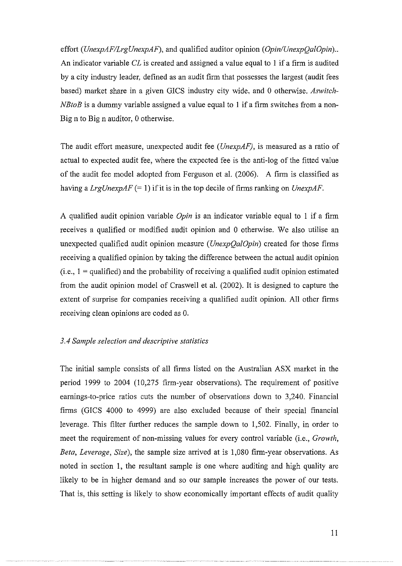effort *(UnexpAF/LrgUnexpAF),* and qualified auditor opinion *(Opin/UnexpQalOpin) ..*  An indicator variable *CL* is created and assigned a value equal to I if a firm is audited by a city industry leader, defined as an audit firm that possesses the largest (audit fees based) market share in a given GICS industry city wide, and 0 otherwise. *Aswitch-NBtoB* is a dummy variable assigned a value equal to 1 if a firm switches from a non-Big n to Big n auditor, 0 otherwise.

The audit effort measure, unexpected audit fee *(UnexpAF),* is measured as a ratio of actual to expected audit fee, where the expected fee is the anti-log of the fitted value of the audit fee model adopted from Ferguson et a!. (2006). A firm is classified as having a *LrgUnexpAF* (= I) if it is in the top decile of firms ranking on *UnexpAF.* 

A qualified audit opinion variable *Opin* is an indicator variable equal to I if a firm receives a qualified or modified audit opinion and 0 otherwise. We also utilise an unexpected qualified audit opinion measure ( *UnexpQa!Opin)* created for those firms receiving a qualified opinion by taking the difference between the actual audit opinion  $(i.e., 1 =$  qualified) and the probability of receiving a qualified audit opinion estimated from the audit opinion model of Craswell et al. (2002). It is designed to capture the extent of surprise for companies receiving a qualified audit opinion. All other firms receiving clean opinions are coded as 0.

#### *3.4 Sample selection and descriptive statistics*

The initial sample consists of all firms listed on the Australian ASX market in the period 1999 to 2004 (10,275 firm-year observations). The requirement of positive earnings-to-price ratios cuts the number of observations down to 3,240. Financial firms (GICS 4000 to 4999) are also excluded because of their special financial leverage. This filter further reduces the sample down to 1,502. Finally, in order to meet the requirement of non-missing values for every control variable (i.e., *Growth, Beta, Leverage, Size*), the sample size arrived at is 1,080 firm-year observations. As noted in section I, the resultant sample is one where auditing and high quality are likely to be in higher demand and so our sample increases the power of our tests. That is, this setting is likely to show economically important effects of audit quality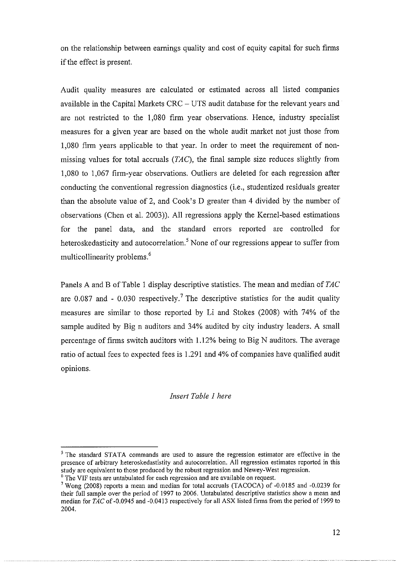on the relationship between earnings quality and cost of equity capital for such firms if the effect is present.

Audit quality measures are calculated or estimated across all listed compames available in the Capital Markets CRC – UTS audit database for the relevant years and are not restricted to the 1,080 firm year observations. Hence, industry specialist measures for a given year are based on the whole audit market not just those from I ,080 firm years applicable to that year. In order to meet the requirement of nonmissing values for total accruals (TAC), the final sample size reduces slightly from 1,080 to 1,067 firm-year observations. Outliers are deleted for each regression after conducting the conventional regression diagnostics (i.e., studentized residuals greater than the absolute value of 2, and Cook's D greater than 4 divided by the number of observations (Chen et a!. 2003)). All regressions apply the Kernel-based estimations for the panel data, and the standard errors reported are controlled for heteroskedasticity and autocorrelation.<sup>5</sup> None of our regressions appear to suffer from multicollinearity problems.<sup>6</sup>

Panels A and B of Table 1 display descriptive statistics. The mean and median of TAC are 0.087 and - 0.030 respectively.<sup>7</sup> The descriptive statistics for the audit quality measures are similar to those reported by Li and Stokes (2008) with 74% of the sample audited by Big n auditors and 34% audited by city industry leaders. A small percentage of firms switch auditors with !.12% being to Big N auditors. The average ratio of actual fees to expected fees is !.291 and 4% of companies have qualified audit opinions.

## *Insert Table I here*

<sup>&</sup>lt;sup>5</sup> The standard STATA commands are used to assure the regression estimator are effective in the presence of arbitrary heteroskedastistity and autocorrelation. All regression estimates reported in this study are equivalent to those produced by the robust regression and Newey-West regression.<br><sup>6</sup> The VIF tests are untabulated for each regression and are available on request.<br><sup>7</sup> Wong (2008) reports a mean and median for t

their full sample over the period of 1997 to 2006. Untabulated descriptive statistics show a mean and median for TAC of -0.0945 and -0.0413 respectively for all ASX listed firms from the period of 1999 to 2004.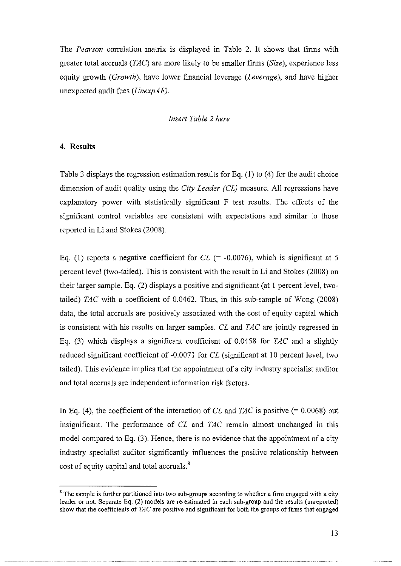The *Pearson* correlation matrix is displayed in Table 2. It shows that firms with greater total accruals *(TAC)* are more likely to be smaller firms *(Size),* experience less equity growth *(Growth),* have lower financial leverage *(Leverage),* and have higher unexpected audit fees *(UnexpAF).* 

## *Insert Table 2 here*

## **4. Results**

Table 3 displays the regression estimation results for Eq.  $(1)$  to  $(4)$  for the audit choice dimension of audit quality using the *City Leader (CL)* measure. All regressions have explanatory power with statistically significant F test results. The effects of the significant control variables are consistent with expectations and similar to those reported in Li and Stokes (2008).

Eq. (1) reports a negative coefficient for  $CL$  (= -0.0076), which is significant at 5 percent level (two-tailed). This is consistent with the result in Li and Stokes (2008) on their larger sample. Eq. (2) displays a positive and significant (at 1 percent level, twotailed) *TAC* with a coefficient of 0.0462. Thus, in this sub-sample of Wong (2008) data, the total accruals are positively associated with the cost of equity capital which is consistent with his results on larger samples. *CL* and *TAC* are jointly regressed in Eq. (3) which displays a significant coefficient of 0.0458 for *TAC* and a slightly reduced significant coefficient of -0.0071 for *CL* (significant at 10 percent level, two tailed). This evidence implies that the appointment of a city industry specialist auditor and total accruals are independent information risk factors.

In Eq. (4), the coefficient of the interaction of *CL* and *TAC* is positive (= 0.0068) but insignificant. The performance of *CL* and *TAC* remain almost unchanged in this model compared to Eq. (3). Hence, there is no evidence that the appointment of a city industry specialist auditor significantly influences the positive relationship between cost of equity capital and total accruals. 8

<sup>&</sup>lt;sup>8</sup> The sample is further partitioned into two sub-groups according to whether a firm engaged with a city leader or not. Separate Eq. (2) models are re-estimated in each sub-group and the results (unreported) show that the coefficients of *TAC* are positive and significant for both the groups of firms that engaged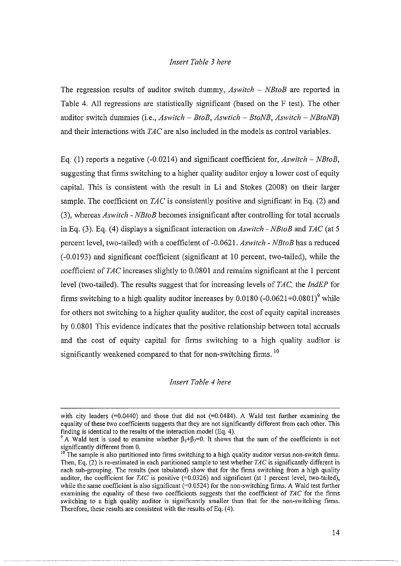## *Insert Table 3 here*

The regression results of auditor switch dummy, *Aswitch – NBtoB* are reported in Table 4. All regressions are statistically significant (based on the F test). The other auditor switch dummies (i.e., *Aswitch* - *BtoB, Aswtich* - *BtoNB, Aswitch* - *NBtoNB)*  and their interactions with *TAC* are also included in the models as control variables.

Eq. (1) reports a negative (-0.0214) and significant coefficient for, *Aswitch- NBtoB,*  suggesting that firms switching to a higher quality auditor enjoy a lower cost of equity capital. This is consistent with the result in Li and Stokes (2008) on their larger sample. The coefficient on *TAC* is consistently positive and significant in Eq. (2) and (3), whereas *Aswitch* - *NBtoB* becomes insignificant after controlling for total accmals in Eq. (3). Eq. (4) displays a significant interaction on *Aswitch - NBtoB* and *TAC* (at 5) percent level, two-tailed) with a coefficient of -0.0621. *Aswitch* - *NBtoB* has a reduced (-0.0193) and significant coefficient (significant at 10 percent, two-tailed), while the coefficient of *TAC* increases slightly to 0.0801 and remains significant at the 1 percent level (two-tailed). The results suggest that for increasing levels of *TAC,* the *IndEP* for firms switching to a high quality auditor increases by  $0.0180$  (-0.0621+0.0801)<sup>9</sup> while for others not switching to a higher quality auditor, the cost of equity capital increases by 0.0801 This evidence indicates that the positive relationship between total accruals and the cost of equity capital for firms switching to a high quality auditor is significantly weakened compared to that for non-switching firms. <sup>10</sup>

*Insert Table 4 here* 

with city leaders  $(=0.0440)$  and those that did not  $(=0.0484)$ . A Wald test further examining the equality of these two coefficients suggests that they are not significantly different from each other. This finding is identical to the results of the interaction model (Eq. 4).

<sup>&</sup>lt;sup>9</sup> A Wald test is used to examine whether  $\beta_5+\beta_7=0$ . It shows that the sum of the coefficients is not significantly different from 0.

<sup>&</sup>lt;sup>10</sup>The sample is also partitioned into firms switching to a high quality auditor versus non-switch firms. Then, Eq. (2) is re-estimated in each partitioned sample to test whether *TAC* is significantly different in each sub-grouping. The results (not tabulated) show that for the firms switching from a high quality auditor, the coefficient for *TAC* is positive  $(=0.0326)$  and significant (at 1 percent level, two-tailed), while the same coefficient is also significant  $(=0.0524)$  for the non-switching firms. A Wald test further examining the equality of these two coefficients suggests that the coefficient of *TAC* for the firms **switching to a high quality auditor is significantly smaller than that for the non-switching firms.**  Therefore, these results are consistent with the results of Eq.  $(4)$ .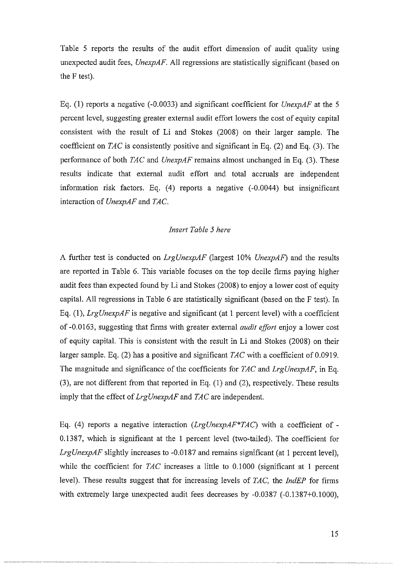Table 5 reports the results of the audit effort dimension of audit quality using unexpected audit fees, *UnexpAF.* All regressions are statistically significant (based on the F test).

Eq. (1) reports a negative ( -0.0033) and significant coefficient for *UnexpAF* at the 5 percent level, suggesting greater external audit effort lowers the cost of equity capital consistent with the result of Li and Stokes (2008) on their larger sample. The coefficient on *TAC* is consistently positive and significant in Eq. (2) and Eq. (3). The performance of both *TAC* and *UnexpAF* remains almost unchanged in Eq. (3). These results indicate that external audit effort and total accruals are independent information risk factors. Eq. (4) reports a negative (-0.0044) but insignificant interaction of *UnexpAF* and *TAC.* 

## *Insert Table 5 here*

A further test is conducted on *LrgUnexpAF* (largest I 0% *UnexpAF)* and the results are reported in Table 6. This variable focuses on the top decile firms paying higher audit fees than expected found by Li and Stokes (2008) to enjoy a lower cost of equity capital. All regressions in Table 6 are statistically significant (based on the F test). In Eq. (1), *LrgUnexpAF* is negative and significant (at 1 percent level) with a coefficient of -0.0163, suggesting that firms with greater external *audit effort* enjoy a lower cost of equity capital. This is consistent with the result in Li and Stokes (2008) on their larger sample. Eq. (2) has a positive and significant *TAC* with a coefficient of 0.0919. The magnitude and significance of the coefficients for *TAC* and *LrgUnexpAF,* in Eq. (3), are not different from that reported in Eq. (I) and (2), respectively. These results imply that the effect of *LrgUnexpAF* and *TAC* are independent.

Eq. (4) reports a negative interaction *(LrgUnexpAF\*TAC)* with a coefficient of-0.1387, which is significant at the I percent level (two-tailed). The coefficient for *LrgUnexpAF* slightly increases to -0.0187 and remains significant (at 1 percent level), while the coefficient for *TAC* increases a little to 0.1000 (significant at 1 percent level). These results suggest that for increasing levels of *TAC,* the *JndEP* for firms with extremely large unexpected audit fees decreases by -0.0387 (-0.1387+0.1000),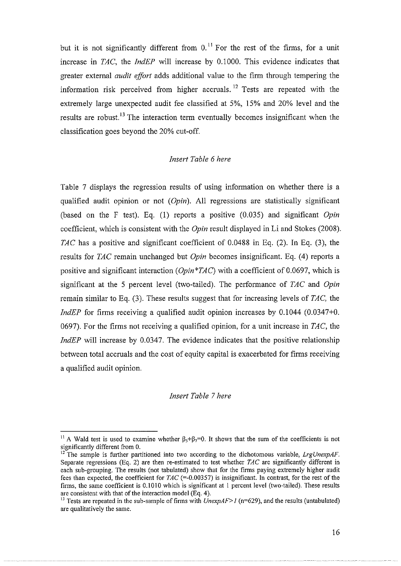but it is not significantly different from  $0$ .<sup>11</sup> For the rest of the firms, for a unit increase in *TAC,* the *IndEP* will increase by 0.1000. This evidence indicates that greater external *audit effort* adds additional value to the firm through tempering the information risk perceived from higher accruals.<sup>12</sup> Tests are repeated with the extremely large unexpected audit fee classified at 5%, 15% and 20% level and the results are robust.<sup>13</sup> The interaction term eventually becomes insignificant when the classification goes beyond the 20% cut-off.

#### *Insert Table 6 here*

Table 7 displays the regression results of using information on whether there is a qualified audit opinion or not *(Opin).* All regressions are statistically significant (based on the F test). Eq. (1) reports a positive (0.035) and significant *Opin*  coefficient, which is consistent with the *Opin* result displayed in Li and Stokes (2008). *TAC* has a positive and significant coefficient of 0.0488 in Eq. (2). In Eq. (3), the results for *TAC* remain unchanged but *Opin* becomes insignificant. Eq. (4) reports a positive and significant interaction *(Opin\*TAC)* with a coefficient of 0.0697, which is significant at the 5 percent level (two-tailed). The performance of *TAC* and *Opin*  remain similar to Eq. (3). These results suggest that for increasing levels of *TAC,* the *IndEP* for firms receiving a qualified audit opinion increases by 0.1044 (0.0347+0. 0697). For the firms not receiving a qualified opinion, for a unit increase in *TAC,* the *IndEP* will increase by 0.0347. The evidence indicates that the positive relationship between total accruals and the cost of equity capital is exacerbated for firms receiving a qualified audit opinion.

#### *Insert Table* 7 *here*

<sup>&</sup>lt;sup>11</sup> A Wald test is used to examine whether  $\beta_5+\beta_7=0$ . It shows that the sum of the coefficients is not significantly different from 0.

<sup>&</sup>lt;sup>12</sup> The sample is further partitioned into two according to the dichotomous variable, *LrgUnexpAF*. Separate regressions (Eq. 2) are then re-estimated to test whether TAC are significantly different in each sub-grouping. The results (not tabulated) show that for the firms paying extremely higher audit fees than expected, the coefficient for  $TAC$  (=-0.00357) is insignificant. In contrast, for the rest of the firms, the same coefficient is 0.1010 which is significant at 1 percent level (two-tailed). These results are consistent with that of the interaction model (Eq. 4).<br><sup>13</sup> Tests are repeated in the sub-sample of firms with *UnexpAF> I* (n=629), and the results (untabulated)

are qualitatively the same.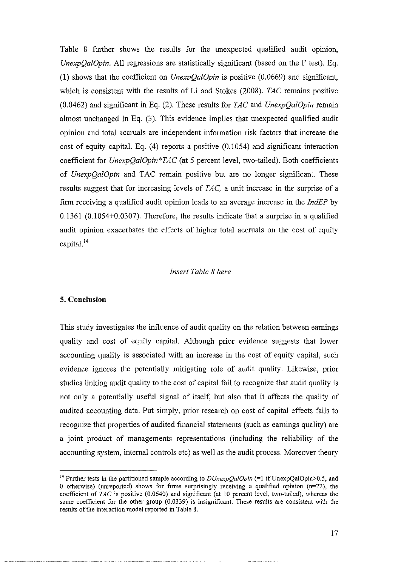Table 8 further shows the results for the unexpected qualified audit opinion, *UnexpQalOpin.* All regressions are statistically significant (based on the F test). Eq. (1) shows that the coefficient on *UnexpQalOpin* is positive (0.0669) and significant, which is consistent with the results of Li and Stokes (2008). *TAC* remains positive (0.0462) and significant in Eq. (2). These results for *TAC* and *UnexpQa!Opin* remain almost unchanged in Eq. (3). This evidence implies that unexpected qualified audit opinion and total accruals are independent information risk factors that increase the cost of equity capital. Eq. (4) reports a positive (0.1054) and significant interaction coefficient for *UnexpQa!Opin\*TAC* (at 5 percent level, two-tailed). Both coefficients of *UnexpQa!Opin* and TAC remain positive but are no longer significant. These results suggest that for increasing levels of *TAC*, a unit increase in the surprise of a finn receiving a qualified audit opinion leads to an average increase in the *IndEP* by 0.1361 (0.1054+0.0307). Therefore, the results indicate that a surprise in a qualified audit opinion exacerbates the effects of higher total accruals on the cost of equity capital.<sup>14</sup>

## *Insert Table 8 here*

## **5. Conclusion**

This study investigates the influence of audit quality on the relation between earnings quality and cost of equity capital. Although prior evidence suggests that lower accounting quality is associated with an increase in the cost of equity capital, such evidence ignores the potentially mitigating role of audit quality. Likewise, prior studies linking audit quality to the cost of capital fail to recognize that audit quality is not only a potentially useful signal of itself, but also that it affects the quality of audited accounting data. Put simply, prior research on cost of capital effects fails to recognize that properties of audited financial statements (such as earnings quality) are a joint product of managements representations (including the reliability of the accounting system, internal controls etc) as well as the audit process. Moreover theory

<sup>&</sup>lt;sup>14</sup> Further tests in the partitioned sample according to  $DUnexpQalOpin$  (=1 if UnexpQalOpin>0.5, and 0 otherwise) (unreported) shows for firms surprisingly receiving a qualified opinion  $(n=22)$ , the coefficient of *TAC* is positive (0.0640) and significant (at 10 percent level, two-tailed), whereas the same coefficient for the other group (0.0339) is insignificant. These results are consistent with the results of the interaction model reported in Table 8.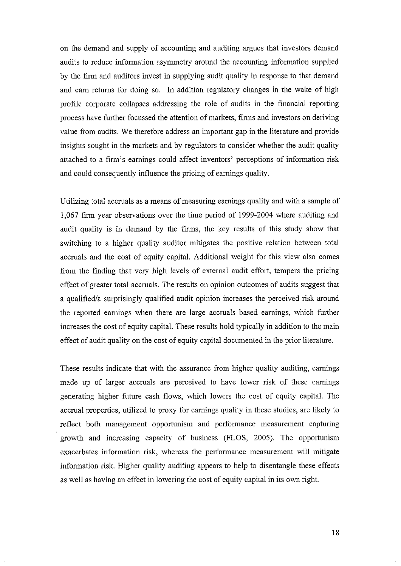on the demand and supply of accounting and auditing argues that investors demand audits to reduce information asymmetry around the accounting information supplied by the firm and auditors invest in supplying audit quality in response to that demand and earn returns for doing so. In addition regulatory changes in the wake of high profile corporate collapses addressing the role of audits in the financial reporting process have further focussed the attention of markets, firms and investors on deriving value from audits. We therefore address an important gap in the literature and provide insights sought in the markets and by regulators to consider whether the audit quality attached to a firm's earnings could affect inventors' perceptions of information risk and could consequently influence the pricing of earnings quality.

Utilizing total accruals as a means of measuring earnings quality and with a sample of 1,067 firm year observations over the time period of 1999-2004 where auditing and audit quality is in demand by the firms, the key results of this study show that switching to a higher quality auditor mitigates the positive relation between total accruals and the cost of equity capital. Additional weight for this view also comes from the finding that very high levels of external audit effort, tempers the pricing effect of greater total accruals. The results on opinion outcomes of audits suggest that a qualified/a surprisingly qualified audit opinion increases the perceived risk around the reported earnings when there are large accruals based earnings, which further increases the cost of equity capital. These results hold typically in addition to the main effect of audit quality on the cost of equity capital documented in the prior literature.

These results indicate that with the assurance from higher quality auditing, earnings made up of larger accruals are perceived to have lower risk of these earnings generating higher future cash flows, which lowers the cost of equity capital. The accrual properties, utilized to proxy for earnings quality in these studies, are likely to reflect both management opportunism and performance measurement capturing growth and increasing capacity of business (FLOS, 2005). The opportunism exacerbates information risk, whereas the performance measurement will mitigate information risk. Higher quality auditing appears to help to disentangle these effects as well as having an effect in lowering the cost of equity capital in its own right.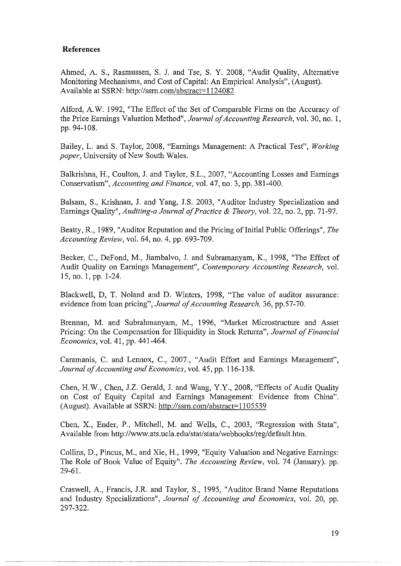## **References**

Ahmed, A. S., Rasmussen, S. J. and Tse, S. Y. 2008, "Audit Quality, Alternative Monitoring Mechanisms, and Cost of Capital: An Empirical Analysis", (August). Available at SSRN: http://ssrn.com/abstract=1124082

Alford, A.W. 1992, "The Effect of the Set of Comparable Firms on the Accuracy of the Price Earnings Valuation Method", *Journal of Accounting Research,* vol. 30, no. 1, pp. 94-108.

Bailey, L. and S. Taylor, 2008, "Earnings Management: A Practical Test", *Working paper*, University of New South Wales.

Balkrishna, H., Coulton, J. and Taylor, S.L., 2007, "Accounting Losses and Earnings Conservatism", *Accounting and Finance,* vol. 47, no. 3, pp. 381-400.

Balsam, S., Krishnan, J. and Yang, J.S. 2003, "Auditor Industry Specialization and Earnings Quality", *Auditing-a Journal of Practice* & *Theory,* vol. 22, no. 2, pp. 71-97.

Beatty, R., 1989, "Auditor Reputation and the Pricing of Initial Public Offerings", *The Accounting Review,* vol. 64, no. 4, pp. 693-709.

Becker, C., DeFond, M., Jiambalvo, J. and Subramanyam, K., 1998, "The Effect of Audit Quality on Earnings Management", *Contemporary Accounting Research*, vol. 15, no. 1, pp. 1-24.

Blackwell, D, T. Noland and D. Winters, 1998, "The value of auditor assurance: evidence from loan pricing", *Journal of Accounting Research,* 36, pp.57-70.

Brennan, M. and Subrahmanyam, M., 1996, "Market Microstructure and Asset Pricing: On the Compensation for Illiquidity in Stock Returns", *Journal of Financial Economics,* vol. 41, pp. 441-464.

Caramanis, C. and Lennox, C., 2007., "Audit Effort and Earnings Management", *Journal of Accounting and Economics,* vol. 45, pp. 116-138.

Chen, H.W., Chen, J.Z. Gerald, J. and Wang, Y.Y., 2008, "Effects of Audit Quality on Cost of Equity Capital and Earnings Management: Evidence from China". (August). Available at SSRN: http://ssrn.com/abstract=11 05539

Chen, X., Ender, P., Mitchell, M. and Wells, C., 2003, "Regression with Stata", Available from http://www .ats. ucla. edu/ stat/ stata/webbooks/reg/ default.htm.

Collins, D., Pincus, M., and Xie, H., 1999, "Equity Valuation and Negative Earnings: The Role of Book Value of Equity". *The Accounting Review,* vol. 74 (January). pp. 29-61.

Craswell, A., Francis, J.R. and Taylor, S., 1995, "Auditor Brand Name Reputations and Industry Specializations", *Journal of Accounting and Economics,* vol. 20, pp. 297-322.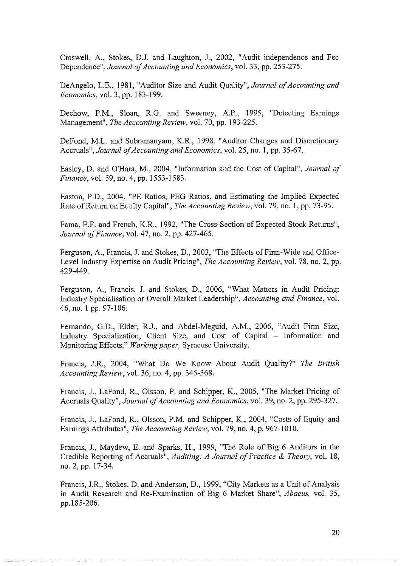Craswell, A., Stokes, D.J. and Laughton, J., 2002, "Audit independence and Fee Dependence", *Journal of Accounting and Economics,* vol. 33, pp. 253-275.

DeAngelo, L.E., 1981, "Auditor Size and Audit Quality", *Journal of Accounting and Economics,* vol. 3, pp. 183-199.

Dechow, P.M., Sloan, R.G. and Sweeney, A.P., 1995, "Detecting Earnings Management", *The Accounting Review,* vol. 70, pp. 193-225.

DeFond, M.L. and Subramanyam, K.R., 1998, "Auditor Changes and Discretionary Accruals", *Journal of Accounting and Economics,* vol. 25, no. I, pp. 35-67.

Easley, D. and O'Hara, M., 2004, "Information and the Cost of Capital", *Journal of Finance,* vol. 59, no. 4, pp. 1553-1583.

Easton, P.D., 2004, "PE Ratios, PEG Ratios, and Estimating the Implied Expected Rate of Return on Equity Capital", *The Accounting Review,* vol. 79, no. I, pp. 73-95.

Fama, E.F. and French, K.R., 1992, "The Cross-Section of Expected Stock Returns", *Journal of Finance,* vol. 47, no. 2, pp. 427-465.

Ferguson, A., Francis, J. and Stokes, D., 2003, "The Effects of Firm-Wide and Office-Level Industry Expertise on Audit Pricing", *The Accounting Review,* vol. 78, no. 2, pp. 429-449.

Ferguson, A., Francis, J. and Stokes, D., 2006, "What Matters in Audit Pricing: Industry Specialisation or Overall Market Leadership", *Accounting and Finance,* vol. 46, no. I pp. 97-106.

Fernando, G.D., Elder, R.J., and Abdel-Meguid, A.M., 2006, "Audit Firm Size, Industry Specialization, Client Size, and Cost of Capital - Information and Monitoring Effects." *Working paper,* Syracuse University.

Francis, J.R., 2004, "What Do We Know About Audit Quality?" *The British Accounting Review,* vol. 36, no. 4, pp. 345-368.

Francis, J., LaFond, R., Olsson, P. and Schipper, K., 2005, "The Market Pricing of Accruals Quality", *Journal of Accounting and Economics,* vol. 39, no. 2, pp. 295-327.

Francis, J., LaFond, R., Olsson, P.M. and Schipper, K., 2004, "Costs of Equity and Earnings Attributes", *The Accounting Review,* vol. 79, no. 4, p. 967-1010.

Francis, J., Maydew, E. and Sparks, H., 1999, "The Role of Big 6 Auditors in the Credible Reporting of Accruals", *Auditing: A Journal of Practice* & *The01y,* vol. 18, no. 2, pp. 17-34.

Francis, J.R., Stokes, D. and Anderson, D., 1999, "City Markets as a Unit of Analysis in Audit Research and Re-Examination of Big 6 Market Share", *Abacus,* vol. 35, pp.l85-206.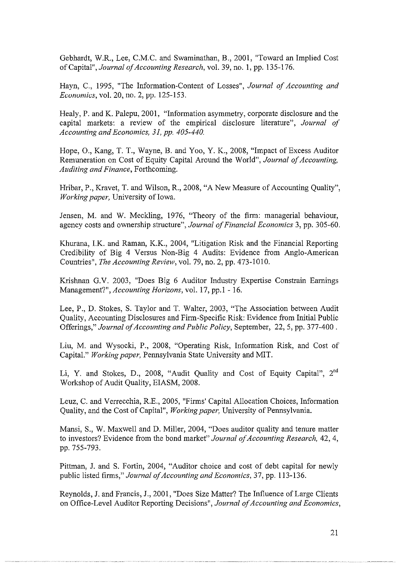Gebhardt, W.R., Lee, C.M.C. and Swaminathan, B., 2001, "Toward an Implied Cost of Capital", *Journal of Accounting Research,* vol. 39, no. 1, pp. 135-176.

Hayn, C., 1995, "The Information-Content of Losses", *Journal of Accounting and Economics, vol.* 20, no. 2, *pp.* 125-153.

Healy, P. and K. Palepu, 2001, "Information asymmetry, corporate disclosure and the capital markets: a review of the empirical disclosure literature", *Journal of Accounting and Economics, 31, pp. 405-440.* 

Hope, 0., Kang, T. T., Wayne, B. and Yoo, Y. K., 2008, "Impact of Excess Auditor Remuneration on Cost of Equity Capital Around the World", *Journal of Accounting, Auditing and Finance,* Forthcoming.

Hribar, P., Kravet, T. and Wilson, R., 2008, "A New Measure of Accounting Quality", *Working paper*, University of Iowa.

Jensen, M. and W. Meckling, 1976, "Theory of the firm: managerial behaviour, agency costs and ownership structure", *Journal of Financial Economics* 3, pp. 305-60.

Khurana, I.K. and Raman, K.K., 2004, "Litigation Risk and the Financial Reporting Credibility of Big 4 Versus Non-Big 4 Audits: Evidence from Anglo-American Countries", *The Accounting Review,* vol. 79, no. 2, pp. 473-1010.

Krishnan G.V. 2003, "Does Big 6 Auditor Industry Expertise Constrain Earnings Management?", *Accounting Horizons,* vol. 17, pp.1- 16.

Lee, P., D. Stokes, S. Taylor and T. Walter, 2003, "The Association between Audit Quality, Accounting Disclosures and Firm-Specific Risk: Evidence from Initial Public Offerings," *Journal of Accounting and Public Policy,* September, 22, 5, pp. 377-400 .

Liu, M. and Wysocki, P., 2008, "Operating Risk, Information Risk, and Cost of Capital." *Working paper,* Pennsylvania State University and MIT.

Li, Y. and Stokes, D., 2008, "Audit Quality and Cost of Equity Capital", 2"d Workshop of Audit Quality, EIASM, 2008.

Leuz, C. and Verrecchia, R.E., 2005, "Firms' Capital Allocation Choices, Information Quality, and the Cost of Capital", *Working paper,* University of Pennsylvania.

Mansi, S., W. Maxwell and D. Miller, 2004, "Does auditor quality and tenure matter to investors? Evidence from the bond market" *Journal of Accounting Research,* 42, 4, pp. 755-793.

Pittman, J. and S. Fortin, 2004, "Auditor choice and cost of debt capital for newly public listed firms," *Journal of Accounting and Economics,* 37, pp. 113-136.

Reynolds, J. and Francis, J., 2001, "Does Size Matter? The Influence of Large Clients on Office-Level Auditor Reporting Decisions", *Journal of Accounting and Economics,*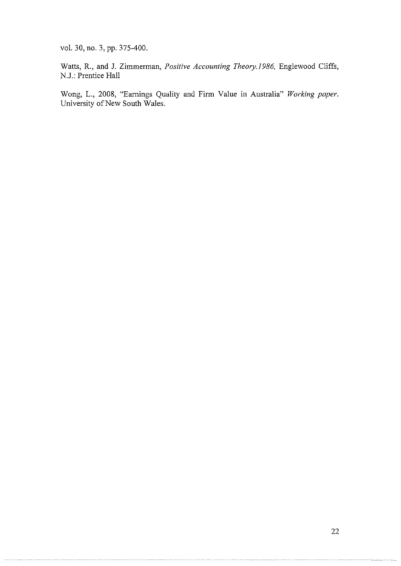vol. 30, no. 3, pp. 375-400.

Watts, R., and J. Zimmerman, *Positive Accounting Theory.I986,* Englewood Cliffs, N.J.: Prentice Hall

Wong, L., 2008, "Earnings Quality and Firm Value in Australia" *Working paper.*  University of New South Wales.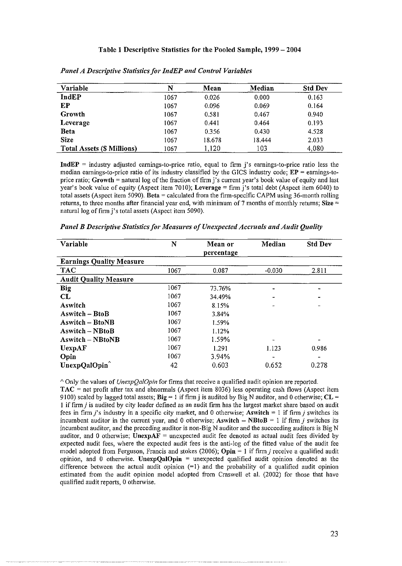#### Table 1 Descriptive Statistics for the Pooled Sample, 1999- 2004

| Variable                          | N    | Mean   | Median | <b>Std Dev</b> |
|-----------------------------------|------|--------|--------|----------------|
| IndEP                             | 1067 | 0.026  | 0.000  | 0.163          |
| ЕP                                | 1067 | 0.096  | 0.069  | 0.164          |
| Growth                            | 1067 | 0.581  | 0.467  | 0.940          |
| Leverage                          | 1067 | 0.441  | 0.464  | 0.193          |
| <b>Beta</b>                       | 1067 | 0.356  | 0.430  | 4.528          |
| <b>Size</b>                       | 1067 | 18.678 | 18.444 | 2.033          |
| <b>Total Assets (\$ Millions)</b> | 1067 | 1,120  | 103    | 4,080          |

*Panel A Descriptive Statistics for lndEP and Control Variables* 

**IndEP = industry adjusted earnings-to-price ratio, equal to firm j's earnings-to-price ratio less the**  median earnings-to-price ratio of its industry classified by the GICS industry code;  $EP =$  earnings-toprice ratio; Growth  $=$  natural log of the fraction of firm j's current year's book value of equity and last year's book value of equity (Aspect item 7010); Leverage  $=$  firm j's total debt (Aspect item 6040) to total assets (Aspect item 5090). Beta = calculated from the firm-specific CAPM using 36-month rolling returns, to three months after financial year end, with minimum of 7 months of monthly returns; Size  $=$ natural log of firm j's total assets (Aspect item 5090).

| Variable                        | N    | Mean or<br>percentage | Median   | <b>Std Dev</b> |
|---------------------------------|------|-----------------------|----------|----------------|
| <b>Earnings Quality Measure</b> |      |                       |          |                |
| <b>TAC</b>                      | 1067 | 0.087                 | $-0.030$ | 2.811          |
| <b>Audit Quality Measure</b>    |      |                       |          |                |
| Big                             | 1067 | 73.76%                |          |                |
| CL                              | 1067 | 34.49%                |          |                |
| Aswitch                         | 1067 | 8.15%                 |          |                |
| Aswitch – BtoB                  | 1067 | 3.84%                 |          |                |
| <b>Aswitch – BtoNB</b>          | 1067 | 1.59%                 |          |                |
| <b>Aswitch – NBtoB</b>          | 1067 | 1.12%                 |          |                |
| <b>Aswitch – NBtoNB</b>         | 1067 | 1.59%                 |          |                |
| UexpAF                          | 1067 | 1.291                 | 1.123    | 0.986          |
| Opin                            | 1067 | 3.94%                 |          |                |
| UnexpQalOpin                    | 42   | 0.603                 | 0.652    | 0.278          |

*Panel B Descriptive Statistics for Measures of Unexpected Accruals and Audit Quality* 

<sup>A</sup>Only the values of *UnexpQa/Opin* for firms that receive a qualified audit opinion are reported. TAC = net profit after tax and abnormals (Aspect item 8036) less operating cash flows (Aspect item 9100) scaled by lagged total assets;  $Big = 1$  if firm j is audited by Big N auditor, and 0 otherwise;  $CL =$ 1 if firm *j* is audited by city leader defined as an audit firm has the largest market share based on audit fees in firm j's industry in a specific city market, and 0 otherwise; Aswitch  $= 1$  if firm j switches its incumbent auditor in the current year, and 0 otherwise; Aswitch  $-$  NBtoB = 1 if firm *j* switches its incumbent auditor, and the preceding auditor is non-Big N auditor and the succeeding auditors is Big N auditor, and 0 otherwise; UnexpAF = unexpected audit fee denoted as actual audit fees divided by expected audit fees, where the expected audit fees is the anti-log of the fitted value of the audit fee model adopted from Ferguson, Francis and stokes (2006); Opin  $= 1$  if firm *j* receive a qualified audit opinion, and 0 otherwise. Unexp $QaIO$  pin = unexpected qualified audit opinion denoted as the difference between the actual audit opinion  $(=1)$  and the probability of a qualified audit opinion estimated from the audit opinion model adopted from Craswell et al. (2002) for those that have qualified audit reports, 0 otherwise.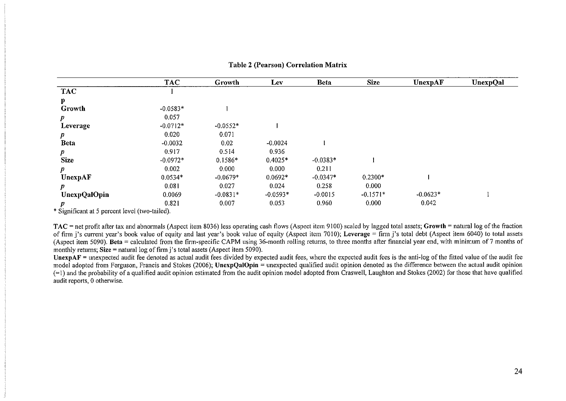|                     | <b>TAC</b> | Growth     | Lev        | Beta       | <b>Size</b> | <b>UnexpAF</b> | <b>UnexpQal</b> |
|---------------------|------------|------------|------------|------------|-------------|----------------|-----------------|
| <b>TAC</b>          |            |            |            |            |             |                |                 |
| P                   |            |            |            |            |             |                |                 |
| Growth              | $-0.0583*$ |            |            |            |             |                |                 |
| $\boldsymbol{p}$    | 0.057      |            |            |            |             |                |                 |
| Leverage            | $-0.0712*$ | $-0.0552*$ |            |            |             |                |                 |
| $\boldsymbol{p}$    | 0.020      | 0.071      |            |            |             |                |                 |
| <b>Beta</b>         | $-0.0032$  | 0.02       | $-0.0024$  |            |             |                |                 |
| $\boldsymbol{p}$    | 0.917      | 0.514      | 0.936      |            |             |                |                 |
| <b>Size</b>         | $-0.0972*$ | $0.1586*$  | $0.4025*$  | $-0.0383*$ |             |                |                 |
| p                   | 0.002      | 0.000      | 0.000      | 0.211      |             |                |                 |
| UnexpAF             | $0.0534*$  | $-0.0679*$ | $0.0692*$  | $-0.0347*$ | $0.2300*$   |                |                 |
| $\boldsymbol{p}$    | 0.081      | 0.027      | 0.024      | 0.258      | 0.000       |                |                 |
| <b>UnexpQalOpin</b> | 0.0069     | $-0.0831*$ | $-0.0593*$ | $-0.0015$  | $-0.1571*$  | $-0.0623*$     |                 |
| p                   | 0.821      | 0.007      | 0.053      | 0.960      | 0.000       | 0.042          |                 |

**Table 2 (Pearson) Correlation Matrix** 

\* Significant at 5 percent level (two-tailed).

TAC = net profit after tax and abnormals (Aspect item 8036) less operating cash flows (Aspect item 9100) scaled by lagged total assets; Growth = natural log of the fraction of firm j's current year's book value of equity and last year's book value of equity (Aspect item 7010); Leverage = firm j's total debt (Aspect item 6040) to total assets (Aspect item 5090). Beta = calculated from the firm-specific CAPM using 36-month rolling returns, to three months after financial year end, with minimum of 7 months of monthly returns;  $Size =$  natural log of firm j's total assets (Aspect item 5090).

**UnexpAF** = unexpected audit fee denoted as actual audit fees divided by expected audit fees, where the expected audit fees is the anti-log of the fitted value of the audit fee model adopted from Ferguson, Francis and Stokes (2006); UnexpQalOpin = unexpected qualified audit opinion denoted as the difference between the actual audit opinion  $(=1)$  and the probability of a qualified audit opinion estimated from the audit opinion model adopted from Craswell, Laughton and Stokes (2002) for those that have qualified **audit reports, 0 otherwise.**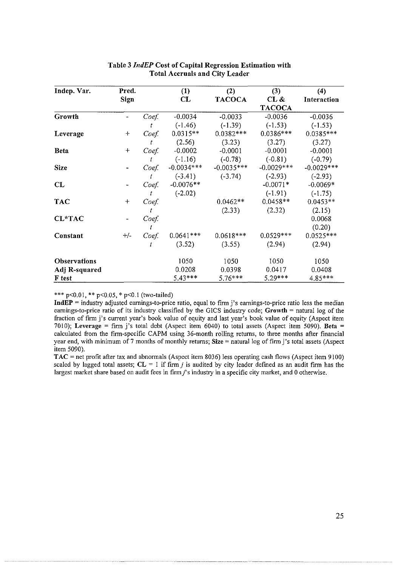| Indep. Var.         | Pred. |       | (1)          | (2)           | (3)           | (4)          |
|---------------------|-------|-------|--------------|---------------|---------------|--------------|
|                     | Sign  |       | CL           | <b>TACOCA</b> | CL &          | Interaction  |
|                     |       |       |              |               | <b>TACOCA</b> |              |
| Growth              |       | Coef. | $-0.0034$    | $-0.0033$     | $-0.0036$     | $-0.0036$    |
|                     |       | t     | $(-1.46)$    | $(-1.39)$     | $(-1.53)$     | $(-1.53)$    |
| Leverage            | $+$   | Coef. | $0.0315**$   | $0.0382***$   | $0.0386***$   | $0.0385***$  |
|                     |       | t     | (2.56)       | (3.23)        | (3.27)        | (3.27)       |
| <b>Beta</b>         | $+$   | Coef  | $-0.0002$    | $-0.0001$     | $-0.0001$     | $-0.0001$    |
|                     |       | İ     | $(-1.16)$    | $(-0.78)$     | $(-0.81)$     | $(-0.79)$    |
| <b>Size</b>         |       | Coef  | $-0.0034***$ | $-0.0035***$  | $-0.0029$ *** | $-0.0029***$ |
|                     |       |       | $(-3.41)$    | $(-3.74)$     | $(-2.93)$     | $(-2.93)$    |
| CL                  |       | Coef  | $-0.0076**$  |               | $-0.0071*$    | $-0.0069*$   |
|                     |       | t     | $(-2.02)$    |               | $(-1.91)$     | $(-1.75)$    |
| <b>TAC</b>          | $+$   | Coef. |              | $0.0462**$    | $0.0458**$    | $0.0453**$   |
|                     |       |       |              | (2.33)        | (2.32)        | (2.15)       |
| <b>CL*TAC</b>       |       | Coef. |              |               |               | 0.0068       |
|                     |       |       |              |               |               | (0.20)       |
| Constant            | $+/-$ | Coef  | $0.0641***$  | $0.0618***$   | $0.0529***$   | $0.0525***$  |
|                     |       |       | (3.52)       | (3.55)        | (2.94)        | (2.94)       |
| <b>Observations</b> |       |       | 1050         | 1050          | 1050          | 1050         |
| Adj R-squared       |       |       | 0.0208       | 0.0398        | 0.0417        | 0.0408       |
| F test              |       |       | $5.43***$    | 5.76***       | $5.29***$     | 4.85***      |

## Table 3 *lndEP* Cost of Capital Regression Estimation with Total Accruals and City Leader

#### \*\*\* p<0.01, \*\* p<0.05, \* p<0.1 (two-tailed)

 $IndEP =$  industry adjusted earnings-to-price ratio, equal to firm j's earnings-to-price ratio less the median earnings-to-price ratio of its industry classified by the GICS industry code; Growth = natural log of the fraction of firm j's current year's book value of equity and last year's book value of equity (Aspect item 7010); Leverage = firm j's total debt (Aspect item 6040) to total assets (Aspect item 5090). Beta = calculated from the firm-specific CAPM using 36-month rolling returns, to three months after financial year end, with minimum of 7 months of monthly returns; Size  $=$  natural log of firm j's total assets (Aspect item 5090).

TAC = net profit after tax and abnormals (Aspect item 8036) less operating cash flows (Aspect item 9100) scaled by lagged total assets;  $CL = 1$  if firm *j* is audited by city leader defined as an audit firm has the largest market share based on audit fees in firm j's industry in a specific city market, and 0 otherwise.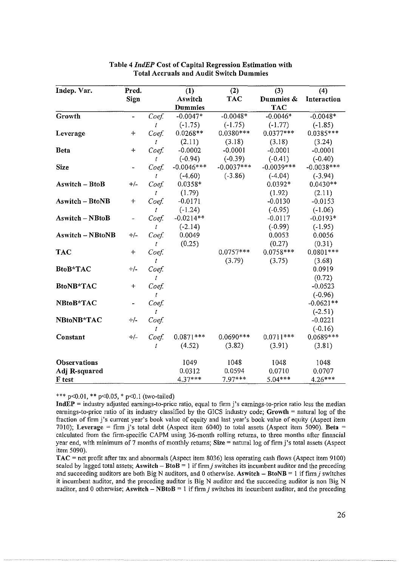| Indep. Var.             | Pred.                    |       | (1)            | (2)          | (3)          | (4)          |
|-------------------------|--------------------------|-------|----------------|--------------|--------------|--------------|
|                         | Sign                     |       | Aswitch        | <b>TAC</b>   | Dummies &    | Interaction  |
|                         |                          |       | <b>Dummies</b> |              | <b>TAC</b>   |              |
| Growth                  | $\overline{\phantom{a}}$ | Coef. | $-0.0047*$     | $-0.0048*$   | $-0.0046*$   | $-0.0048*$   |
|                         |                          | t     | $(-1.75)$      | $(-1.75)$    | $(-1.77)$    | $(-1.85)$    |
| Leverage                | $+$                      | Coef. | $0.0268**$     | $0.0380***$  | $0.0377***$  | $0.0385***$  |
|                         |                          | t     | (2.11)         | (3.18)       | (3.18)       | (3.24)       |
| <b>B</b> eta            | $+$                      | Coef. | $-0.0002$      | $-0.0001$    | $-0.0001$    | $-0.0001$    |
|                         |                          | t     | $(-0.94)$      | $(-0.39)$    | $(-0.41)$    | $(-0.40)$    |
| <b>Size</b>             |                          | Coef. | $-0.0046***$   | $-0.0037***$ | $-0.0039***$ | $-0.0038***$ |
|                         |                          | t     | $(-4.60)$      | $(-3.86)$    | $(-4.04)$    | $(-3.94)$    |
| <b>Aswitch - BtoB</b>   | $+/-$                    | Coef. | $0.0358*$      |              | $0.0392*$    | $0.0430**$   |
|                         |                          | t     | (1.79)         |              | (1.92)       | (2.11)       |
| <b>Aswitch - BtoNB</b>  | $+$                      | Coef. | $-0.0171$      |              | $-0.0130$    | $-0.0153$    |
|                         |                          | t     | $(-1.24)$      |              | $(-0.95)$    | $(-1.06)$    |
| <b>Aswitch-NBtoB</b>    | ÷,                       | Coef  | $-0.0214**$    |              | $-0.0117$    | $-0.0193*$   |
|                         |                          | t     | $(-2.14)$      |              | $(-0.99)$    | $(-1.95)$    |
| <b>Aswitch - NBtoNB</b> | $+/-$                    | Coef  | 0.0049         |              | 0.0053       | 0.0056       |
|                         |                          | t     | (0.25)         |              | (0.27)       | (0.31)       |
| <b>TAC</b>              | $+$                      | Coef. |                | $0.0757***$  | $0.0758***$  | $0.0801***$  |
|                         |                          | t     |                | (3.79)       | (3.75)       | (3.68)       |
| <b>BtoB*TAC</b>         | $+/-$                    | Coef. |                |              |              | 0.0919       |
|                         |                          | t     |                |              |              | (0.72)       |
| <b>BtoNB*TAC</b>        | $\div$                   | Coef. |                |              |              | $-0.0523$    |
|                         |                          | t     |                |              |              | $(-0.96)$    |
| NBtoB*TAC               |                          | Coef  |                |              |              | $-0.0621**$  |
|                         |                          | t     |                |              |              | $(-2.51)$    |
| NBtoNB*TAC              | $+/-$                    | Coef. |                |              |              | $-0.0221$    |
|                         |                          | t     |                |              |              | $(-0.16)$    |
| Constant                | $+/-$                    | Coef. | $0.0871***$    | $0.0690***$  | $0.0711***$  | $0.0689***$  |
|                         |                          | t     | (4.52)         | (3.82)       | (3.91)       | (3.81)       |
| <b>Observations</b>     |                          |       | 1049           | 1048         | 1048         | 1048         |
| Adj R-squared           |                          |       | 0.0312         | 0.0594       | 0.0710       | 0.0707       |
| <b>F</b> test           |                          |       | 4.37***        | $7.97***$    | $5.04***$    | $4.26***$    |

## Table 4 *IndEP* Cost of Capital Regression Estimation with Total Accruals and Audit Switch Dummies

\*\*\* p<0.01, \*\* p<0.05, \* p<0.1 (two-tailed)

 $IndEP =$  industry adjusted earnings-to-price ratio, equal to firm j's earnings-to-price ratio less the median earnings-to-price ratio of its industry classified by the GICS industry code; Growth = natural log of the fraction of firm j's current year's book value of equity and last year's book value of equity (Aspect item 7010); Leverage = firm j's total debt (Aspect item 6040) to total assets (Aspect item 5090). Beta = calculated from the firm-specific CAPM using 36-month rolling returns, to three months after financial year end, with minimum of 7 months of monthly returns; Size = natural log of firm j's total assets (Aspect item 5090).

TAC = net profit after tax and abnormals (Aspect item 8036) less operating cash flows (Aspect item 9100) scaled by lagged total assets; Aswitch  $-$  BtoB  $=$  1 if firm *j* switches its incumbent auditor and the preceding and succeeding auditors are both Big N auditors, and 0 otherwise. As witch  $-$  BtoNB  $=$  1 if firm j switches **it incumbent auditor, and the preceding auditor is Big N auditor and the succeeding auditor is non Big N**  auditor, and 0 otherwise; Aswitch - NBtoB = 1 if firm  $j$  switches its incumbent auditor, and the preceding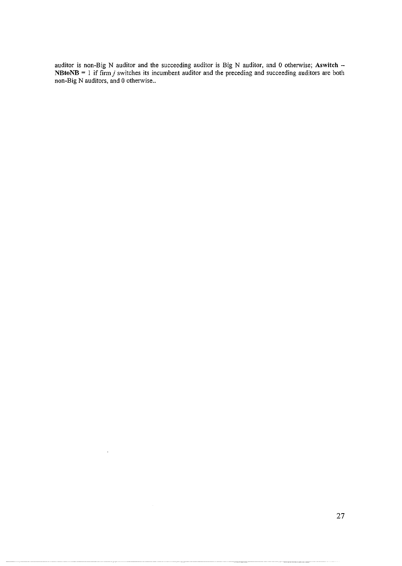**auditor is non-Big N auditor and the succeeding auditor is Big N auditor, and 0 otherwise; Aswitch** -  $NB$ to $N$ B = 1 if firm *j* switches its incumbent auditor and the preceding and succeeding auditors are both **non-Big N auditors, and 0 othetwise ..** 

 $\ddot{\phantom{a}}$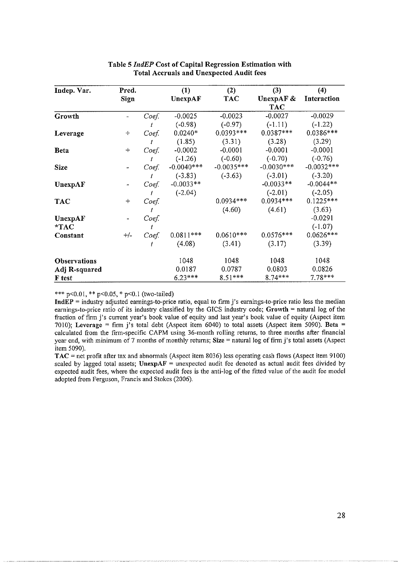| Indep. Var.         | Pred.      |       | (1)          | (2)          | (3)          | (4)          |
|---------------------|------------|-------|--------------|--------------|--------------|--------------|
|                     | Sign       |       | UnexpAF      | <b>TAC</b>   | UnexpAF $\&$ | Interaction  |
|                     |            |       |              |              | <b>TAC</b>   |              |
| Growth              |            | Coef. | $-0.0025$    | $-0.0023$    | $-0.0027$    | $-0.0029$    |
|                     |            | t     | $(-0.98)$    | $(-0.97)$    | $(-1.11)$    | $(-1.22)$    |
| Leverage            | $\ddot{+}$ | Coef. | $0.0240*$    | $0.0393***$  | $0.0387***$  | $0.0386***$  |
|                     |            | t     | (1.85)       | (3.31)       | (3.28)       | (3.29)       |
| <b>Beta</b>         | $+$        | Coef. | $-0.0002$    | $-0.0001$    | $-0.0001$    | $-0.0001$    |
|                     |            | t     | $(-1.26)$    | $(-0.60)$    | $(-0.70)$    | $(-0.76)$    |
| <b>Size</b>         |            | Coef. | $-0.0040***$ | $-0.0035***$ | $-0.0030***$ | $-0.0032***$ |
|                     |            | İ.    | $(-3.83)$    | $(-3.63)$    | $(-3.01)$    | $(-3.20)$    |
| UnexpAF             |            | Coef. | $-0.0033**$  |              | $-0.0033**$  | $-0.0044**$  |
|                     |            | t     | $(-2.04)$    |              | $(-2.01)$    | $(-2.05)$    |
| <b>TAC</b>          | $+$        | Coef. |              | $0.0934***$  | $0.0934***$  | $0.1225***$  |
|                     |            | t     |              | (4.60)       | (4.61)       | (3.63)       |
| UnexpAF             |            | Coef. |              |              |              | $-0.0291$    |
| $*TAC$              |            | t     |              |              |              | $(-1.07)$    |
| Constant            | $+/-$      | Coef. | $0.0811***$  | $0.0610***$  | $0.0576***$  | $0.0626***$  |
|                     |            |       | (4.08)       | (3.41)       | (3.17)       | (3.39)       |
| <b>Observations</b> |            |       | 1048         | 1048         | 1048         | 1048         |
| Adj R-squared       |            |       | 0.0187       | 0.0787       | 0.0803       | 0.0826       |
| F test              |            |       | $6.23***$    | $8.51***$    | 8.74***      | $7.78***$    |

## Table 5 *IndEP* Cost of Capital Regression Estimation with Total Accruals and Unexpected Audit fees

\*\*\* p<0.01, \*\* p<0.05, \* p<0.1 (two-tailed)

**IndEP = industry adjusted earnings-to-price ratio, equal to firm j's earnings-to-price ratio less the median**  earnings-to-price ratio of its industry classified by the GICS industry code; Growth = natural log of the fraction of firm j's current year's book value of equity and last year's book value of equity (Aspect item 7010); Leverage = firm j's total debt (Aspect item 6040) to total assets (Aspect item 5090). Beta = calculated from the firm-specific CAPM using 36-month rolling returns, to three months after financial year end, with minimum of 7 months of monthly returns; Size = natural log of firm j's total assets (Aspect item 5090).

TAC =net profit after tax and abnormals (Aspect item 8036) less operating cash flows (Aspect item 9100) scaled by lagged total assets; UnexpAF = unexpected audit fee denoted as actual audit fees divided by expected audit fees, where the expected audit fees is the anti-log of the fitted value of the audit fee model adopted from Ferguson, Francis and Stokes (2006).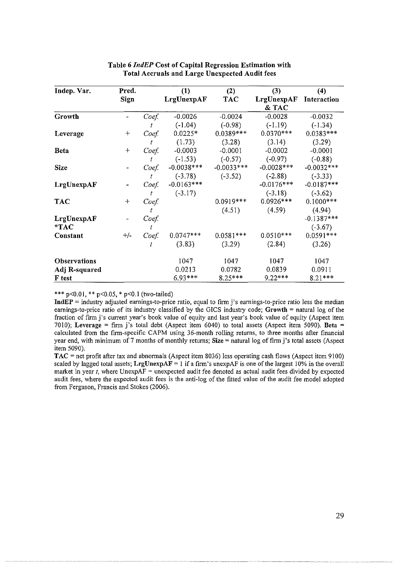| Indep. Var.         | Pred.   |       | (1)          | (2)          | (3)           | (4)           |
|---------------------|---------|-------|--------------|--------------|---------------|---------------|
|                     | Sign    |       | LrgUnexpAF   | <b>TAC</b>   | LrgUnexpAF    | Interaction   |
|                     |         |       |              |              | & TAC         |               |
| Growth              |         | Coef. | $-0.0026$    | $-0.0024$    | $-0.0028$     | $-0.0032$     |
|                     |         |       | $(-1.04)$    | $(-0.98)$    | $(-1.19)$     | $(-1.34)$     |
| Leverage            | ┿       | Coef. | $0.0225*$    | $0.0389***$  | $0.0370***$   | $0.0383***$   |
|                     |         | t     | (1.73)       | (3.28)       | (3.14)        | (3.29)        |
| <b>Beta</b>         | $+$     | Coef  | $-0.0003$    | $-0.0001$    | $-0.0002$     | $-0.0001$     |
|                     |         | t     | $(-1.53)$    | $(-0.57)$    | $(-0.97)$     | $(-0.88)$     |
| <b>Size</b>         |         | Coef. | $-0.0038***$ | $-0.0033***$ | $-0.0028$ *** | $-0.0032***$  |
|                     |         | t     | $(-3.78)$    | $(-3.52)$    | $(-2.88)$     | (.3.33)       |
| LrgUnexpAF          |         | Coef. | $-0.0163***$ |              | $-0.0176***$  | $-0.0187$ *** |
|                     |         | t     | $(-3.17)$    |              | $(-3.18)$     | $(-3.62)$     |
| <b>TAC</b>          | $\ddag$ | Coef. |              | $0.0919***$  | $0.0926***$   | $0.1000***$   |
|                     |         | t     |              | (4.51)       | (4.59)        | (4.94)        |
| LrgUnexpAF          |         | Coef. |              |              |               | $-0.1387***$  |
| $*TAC$              |         | İ     |              |              |               | $(-3.67)$     |
| Constant            | $+/-$   | Coef  | $0.0747***$  | $0.0581***$  | $0.0510***$   | $0.0591***$   |
|                     |         | t     | (3.83)       | (3.29)       | (2.84)        | (3.26)        |
| <b>Observations</b> |         |       | 1047         | 1047         | 1047          | 1047          |
| Adj R-squared       |         |       | 0.0213       | 0.0782       | 0.0839        | 0.0911        |
| <b>F</b> test       |         |       | $6.93***$    | $8.25***$    | $9.22***$     | $8.21***$     |

## **Table 6** *IndEP* **Cost of Capital Regression Estimation with Total Accruals and Large Unexpected Audit fees**

\*\*\* p<0.01, \*\* p<0.05, \* p<0.1 (two-tailed)

**IndEP** = industry adjusted earnings-to-price ratio, equal to firm j's earnings-to-price ratio less the median earnings-to-price ratio of its industry classified by the GICS industry code; **Growth** = natural log of the fraction of firm j's current year's book value of equity and last year's book value of equity (Aspect item 7010); **Leverage** = firm j's total debt (Aspect item 6040) to total assets (Aspect item 5090). **Beta** = calculated from the firm-specific CAPM using 36-month rolling returns, to three months after financial year end, with minimum of7 months of monthly returns; **Size=** natural log offirmj's total assets (Aspect item 5090).

**TAC** = net profit after tax and abnormals (Aspect item 8036) less operating cash flows (Aspect item 9100) scaled by lagged total assets; **LrgUnexpAF** = 1 if a firm's unexpAF is one of the largest 10% in the overall market in year  $t$ , where UnexpAF = unexpected audit fee denoted as actual audit fees divided by expected audit fees, where the expected audit fees is the anti-log of the fitted value of the audit fee model adopted from Ferguson, Francis and Stokes (2006).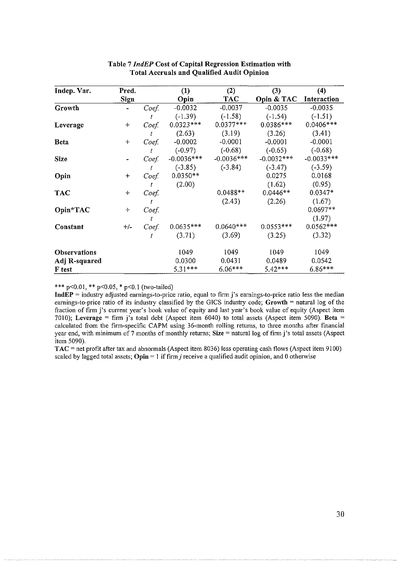| Indep. Var.         | Pred.   |       | (1)          | (2)          | (3)          | (4)                |
|---------------------|---------|-------|--------------|--------------|--------------|--------------------|
|                     | Sign    |       | Opin         | <b>TAC</b>   | Opin & TAC   | <b>Interaction</b> |
| Growth              |         | Coef. | $-0.0032$    | $-0.0037$    | $-0.0035$    | $-0.0035$          |
|                     |         |       | $(-1.39)$    | $(-1.58)$    | $(-1.54)$    | $(-1.51)$          |
| Leverage            | $+$     | Coef. | $0.0323***$  | $0.0377***$  | $0.0386***$  | $0.0406***$        |
|                     |         |       | (2.63)       | (3.19)       | (3.26)       | (3.41)             |
| <b>Beta</b>         | $\ddag$ | Coef. | $-0.0002$    | $-0.0001$    | $-0.0001$    | $-0.0001$          |
|                     |         | t     | $(-0.97)$    | $(-0.68)$    | $(-0.65)$    | $(-0.68)$          |
| <b>Size</b>         |         | Coef. | $-0.0036***$ | $-0.0036***$ | $-0.0032***$ | $-0.0033***$       |
|                     |         |       | $(-3.85)$    | $(-3.84)$    | $(-3.47)$    | $(-3.59)$          |
| Opin                | $\ddag$ | Coef  | $0.0350**$   |              | 0.0275       | 0.0168             |
|                     |         |       | (2.00)       |              | (1.62)       | (0.95)             |
| <b>TAC</b>          | $+$     | Coef. |              | $0.0488**$   | $0.0446**$   | $0.0347*$          |
|                     |         |       |              | (2.43)       | (2.26)       | (1.67)             |
| Opin*TAC            | $\div$  | Coef  |              |              |              | $0.0697**$         |
|                     |         |       |              |              |              | (1.97)             |
| Constant            | $+/-$   | Coef. | $0.0635***$  | $0.0640***$  | $0.0553***$  | $0.0562***$        |
|                     |         | t     | (3.71)       | (3.69)       | (3.25)       | (3.32)             |
| <b>Observations</b> |         |       | 1049         | 1049         | 1049         | 1049               |
| Adj R-squared       |         |       | 0.0300       | 0.0431       | 0.0489       | 0.0542             |
| F test              |         |       | $5.31***$    | $6.06***$    | $5.42***$    | $6.86***$          |

## **Table 7** *IndEP* **Cost of Capital Regression Estimation with Total Accruals and Qualified Audit Opinion**

\*\*\* p<0.01, \*\* p<0.05, \* p<0.1 (two-tailed)

**IndEP** = industry adjusted earnings-to-price ratio, equal to firm j's earnings-to-price ratio less the median earnings-to-price ratio of its industry classified by the GICS industry code; **Growth** = natural log of the fraction of firm j's current year's book value of equity and last year's book value of equity (Aspect item 7010); **Leverage** =firm j's total debt (Aspect item 6040) to total assets (Aspect item 5090). **Beta** = calculated from the firm-specific CAPM using 36-month rolling returns, to three months after financial year end, with minimum of 7 months of monthly returns; **Size=** natural log of firm j's total assets (Aspect item 5090).

**TAC** = net profit after tax and abnormals (Aspect item 8036) less operating cash flows (Aspect item 9100) scaled by lagged total assets;  $Opin = 1$  if firm *j* receive a qualified audit opinion, and 0 otherwise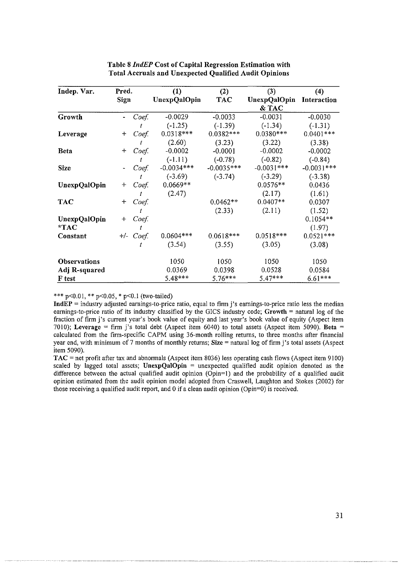| Indep. Var.         | Pred.          |           | (1)                 | (2)          | (3)                 | (4)          |
|---------------------|----------------|-----------|---------------------|--------------|---------------------|--------------|
|                     | Sign           |           | <b>UnexpQalOpin</b> | <b>TAC</b>   | <b>UnexpQalOpin</b> | Interaction  |
|                     |                |           |                     |              | & TAC               |              |
| Growth              |                | Coef.     | $-0.0029$           | $-0.0033$    | $-0.0031$           | $-0.0030$    |
|                     |                |           | $(-1.25)$           | $(-1.39)$    | $(-1.34)$           | $(-1.31)$    |
| Leverage            | $\, +$         | Coef.     | $0.0318***$         | $0.0382***$  | $0.0380***$         | $0.0401***$  |
|                     |                |           | (2.60)              | (3.23)       | (3.22)              | (3.38)       |
| <b>Beta</b>         | $\ddot{}$      | Coef.     | $-0.0002$           | $-0.0001$    | $-0.0002$           | $-0.0002$    |
|                     |                |           | $(-1.11)$           | $(-0.78)$    | $(-0.82)$           | $(-0.84)$    |
| <b>Size</b>         | $\blacksquare$ | Coef.     | $-0.0034***$        | $-0.0035***$ | $-0.0031***$        | $-0.0031***$ |
|                     |                |           | $(-3.69)$           | $(-3.74)$    | $(-3.29)$           | $(-3.38)$    |
| <b>UnexpQalOpin</b> | $\pm$          | Coef.     | $0.0669**$          |              | $0.0576**$          | 0.0436       |
|                     |                | t         | (2.47)              |              | (2.17)              | (1.61)       |
| <b>TAC</b>          | ┿              | Coef.     |                     | $0.0462**$   | $0.0407**$          | 0.0307       |
|                     |                | t         |                     | (2.33)       | (2.11)              | (1.52)       |
| <b>UnexpQalOpin</b> | $\div$         | Coef.     |                     |              |                     | $0.1054**$   |
| $*TAC$              |                | t         |                     |              |                     | (1.97)       |
| Constant            |                | +/- Coef. | $0.0604***$         | $0.0618***$  | $0.0518***$         | $0.0521***$  |
|                     |                |           | (3.54)              | (3.55)       | (3.05)              | (3.08)       |
| Observations        |                |           | 1050                | 1050         | 1050                | 1050         |
| Adj R-squared       |                |           | 0.0369              | 0.0398       | 0.0528              | 0.0584       |
| F test              |                |           | $5.48***$           | $5.76***$    | $5.47***$           | $6.61***$    |

## Table 8 *IndEP* Cost of Capital Regression Estimation with Total Accruals and Unexpected Qualified Audit Opinions

#### \*\*\* p<0.01, \*\* p<0.05, \* p<0.1 (two-tailed)

**IndEP** = industry adjusted earnings-to-price ratio, equal to firm j's earnings-to-price ratio less the median earnings-to-price ratio of its industry classified by the GICS industry code; Growth  $=$  natural log of the fraction of firm j's current year's book value of equity and last year's book value of equity (Aspect item 7010); Leverage = firm j's total debt (Aspect item 6040) to total assets (Aspect item 5090). Beta = calculated from the finn-specific CAPM using 36-month rolling returns, to three months after financial year end, with minimum of 7 months of monthly returns; Size = natural log of firm j's total assets (Aspect item 5090).

 $TAC$  = net profit after tax and abnormals (Aspect item 8036) less operating cash flows (Aspect item 9100) scaled by lagged total assets; UnexpQalOpin  $=$  unexpected qualified audit opinion denoted as the difference between the actual qualified audit opinion (Opin=1) and the probability of a qualified audit opinion estimated from the audit opinion model adopted from Craswell, Laughton and Stokes (2002) for those receiving a qualified audit report, and 0 if a clean audit opinion (Opin=0) is received.